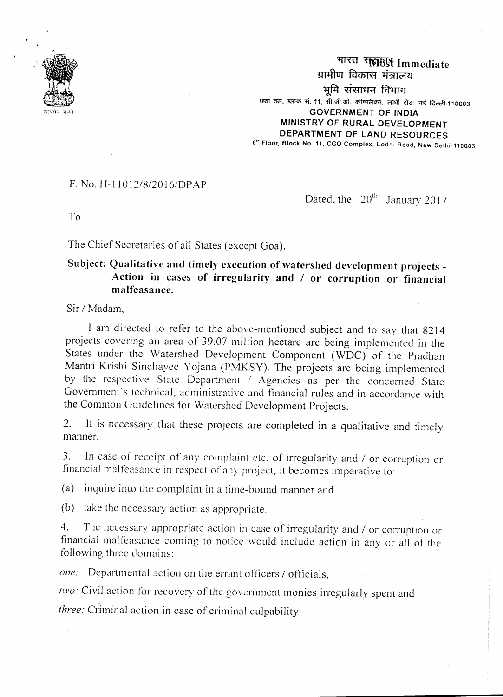

भारत सर्हाछि Immediate यामीण विकास मंत्रालय भमि संसाधन विभाग छठा तल, ब्लॉक सं. 11, सी.जी.ओ. कॉम्पलैक्स, लोधी रोड़, नई दिल्ली-110003 **GOVERNMENT OF INDIA** MINISTRY OF RURAL DEVELOPMENT DEPARTMENT OF LAND RESOURCES 6<sup>th</sup> Floor, Block No. 11, CGO Complex, Lodhi Road, New Delhi-110003

## $F. No. H-11012/8/2016/DPAP$

Dated, the  $20<sup>th</sup>$  January 2017

 $To$ 

The Chief Secretaries of all States (except Goa).

## Subject: Qualitative and timely execution of watershed development projects -Action in cases of irregularity and / or corruption or financial malfeasance

Sir / Madam,

I am directed to refer to the above-mentioned subject and to say that 8214 projects covering an area of 39.07 million hectare are being implemented in the States under the Watershed Development Component (WDC) of the Pradhan Mantri Krishi Sinchayee Yojana (PMKSY). The projects are being implemented by the respective State Department / Agencies as per the concerned State Government's technical, administrative and financial rules and in accordance with the Common Guidelines for Watershed Development Projects.

It is necessary that these projects are completed in a qualitative and timely  $2^{+}$ manner.

In case of receipt of any complaint etc. of irregularity and / or corruption or  $3.$ financial malfeasance in respect of any project, it becomes imperative to:

(a) inquire into the complaint in a time-bound manner and

(b) take the necessary action as appropriate.

The necessary appropriate action in case of irregularity and / or corruption or  $4.$ financial malfeasance coming to notice would include action in any or all of the following three domains:

*one:* Departmental action on the errant officers / officials.

two: Civil action for recovery of the government monies irregularly spent and

three: Criminal action in case of criminal culpability